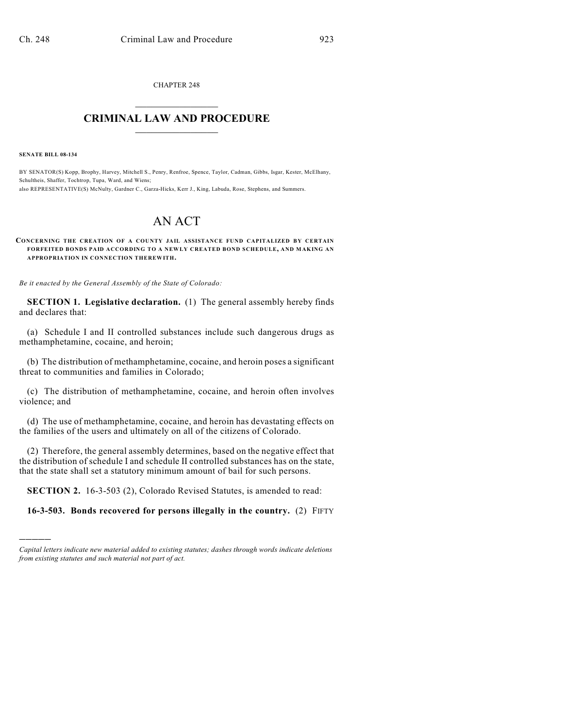CHAPTER 248  $\overline{\phantom{a}}$  . The set of the set of the set of the set of the set of the set of the set of the set of the set of the set of the set of the set of the set of the set of the set of the set of the set of the set of the set o

## **CRIMINAL LAW AND PROCEDURE**  $\frac{1}{2}$  ,  $\frac{1}{2}$  ,  $\frac{1}{2}$  ,  $\frac{1}{2}$  ,  $\frac{1}{2}$  ,  $\frac{1}{2}$  ,  $\frac{1}{2}$

**SENATE BILL 08-134**

)))))

BY SENATOR(S) Kopp, Brophy, Harvey, Mitchell S., Penry, Renfroe, Spence, Taylor, Cadman, Gibbs, Isgar, Kester, McElhany, Schultheis, Shaffer, Tochtrop, Tupa, Ward, and Wiens; also REPRESENTATIVE(S) McNulty, Gardner C., Garza-Hicks, Kerr J., King, Labuda, Rose, Stephens, and Summers.

## AN ACT

**CONCERNING THE CREATION OF A COUNTY JAIL ASSISTANCE FUND CAPITALIZED BY CERTAIN FORFEITED BONDS PAID ACCORDING TO A NEWLY CREATED BOND SCHEDULE, AND MAKING AN APPROPRIATION IN CONNECTION THEREWITH.**

*Be it enacted by the General Assembly of the State of Colorado:*

**SECTION 1. Legislative declaration.** (1) The general assembly hereby finds and declares that:

(a) Schedule I and II controlled substances include such dangerous drugs as methamphetamine, cocaine, and heroin;

(b) The distribution of methamphetamine, cocaine, and heroin poses a significant threat to communities and families in Colorado;

(c) The distribution of methamphetamine, cocaine, and heroin often involves violence; and

(d) The use of methamphetamine, cocaine, and heroin has devastating effects on the families of the users and ultimately on all of the citizens of Colorado.

(2) Therefore, the general assembly determines, based on the negative effect that the distribution of schedule I and schedule II controlled substances has on the state, that the state shall set a statutory minimum amount of bail for such persons.

**SECTION 2.** 16-3-503 (2), Colorado Revised Statutes, is amended to read:

**16-3-503. Bonds recovered for persons illegally in the country.** (2) FIFTY

*Capital letters indicate new material added to existing statutes; dashes through words indicate deletions from existing statutes and such material not part of act.*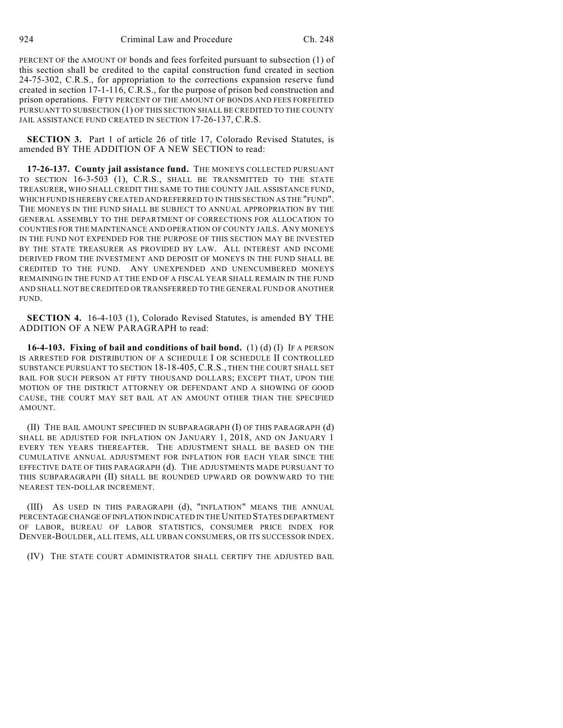PERCENT OF the AMOUNT OF bonds and fees forfeited pursuant to subsection (1) of this section shall be credited to the capital construction fund created in section 24-75-302, C.R.S., for appropriation to the corrections expansion reserve fund created in section 17-1-116, C.R.S., for the purpose of prison bed construction and prison operations. FIFTY PERCENT OF THE AMOUNT OF BONDS AND FEES FORFEITED PURSUANT TO SUBSECTION (1) OF THIS SECTION SHALL BE CREDITED TO THE COUNTY JAIL ASSISTANCE FUND CREATED IN SECTION 17-26-137, C.R.S.

**SECTION 3.** Part 1 of article 26 of title 17, Colorado Revised Statutes, is amended BY THE ADDITION OF A NEW SECTION to read:

**17-26-137. County jail assistance fund.** THE MONEYS COLLECTED PURSUANT TO SECTION 16-3-503 (1), C.R.S., SHALL BE TRANSMITTED TO THE STATE TREASURER, WHO SHALL CREDIT THE SAME TO THE COUNTY JAIL ASSISTANCE FUND, WHICH FUND IS HEREBY CREATED AND REFERRED TO IN THIS SECTION AS THE "FUND". THE MONEYS IN THE FUND SHALL BE SUBJECT TO ANNUAL APPROPRIATION BY THE GENERAL ASSEMBLY TO THE DEPARTMENT OF CORRECTIONS FOR ALLOCATION TO COUNTIES FOR THE MAINTENANCE AND OPERATION OF COUNTY JAILS. ANY MONEYS IN THE FUND NOT EXPENDED FOR THE PURPOSE OF THIS SECTION MAY BE INVESTED BY THE STATE TREASURER AS PROVIDED BY LAW. ALL INTEREST AND INCOME DERIVED FROM THE INVESTMENT AND DEPOSIT OF MONEYS IN THE FUND SHALL BE CREDITED TO THE FUND. ANY UNEXPENDED AND UNENCUMBERED MONEYS REMAINING IN THE FUND AT THE END OF A FISCAL YEAR SHALL REMAIN IN THE FUND AND SHALL NOT BE CREDITED OR TRANSFERRED TO THE GENERAL FUND OR ANOTHER FUND.

**SECTION 4.** 16-4-103 (1), Colorado Revised Statutes, is amended BY THE ADDITION OF A NEW PARAGRAPH to read:

**16-4-103. Fixing of bail and conditions of bail bond.** (1) (d) (I) IF A PERSON IS ARRESTED FOR DISTRIBUTION OF A SCHEDULE I OR SCHEDULE II CONTROLLED SUBSTANCE PURSUANT TO SECTION 18-18-405, C.R.S., THEN THE COURT SHALL SET BAIL FOR SUCH PERSON AT FIFTY THOUSAND DOLLARS; EXCEPT THAT, UPON THE MOTION OF THE DISTRICT ATTORNEY OR DEFENDANT AND A SHOWING OF GOOD CAUSE, THE COURT MAY SET BAIL AT AN AMOUNT OTHER THAN THE SPECIFIED AMOUNT.

(II) THE BAIL AMOUNT SPECIFIED IN SUBPARAGRAPH (I) OF THIS PARAGRAPH (d) SHALL BE ADJUSTED FOR INFLATION ON JANUARY 1, 2018, AND ON JANUARY 1 EVERY TEN YEARS THEREAFTER. THE ADJUSTMENT SHALL BE BASED ON THE CUMULATIVE ANNUAL ADJUSTMENT FOR INFLATION FOR EACH YEAR SINCE THE EFFECTIVE DATE OF THIS PARAGRAPH (d). THE ADJUSTMENTS MADE PURSUANT TO THIS SUBPARAGRAPH (II) SHALL BE ROUNDED UPWARD OR DOWNWARD TO THE NEAREST TEN-DOLLAR INCREMENT.

(III) AS USED IN THIS PARAGRAPH (d), "INFLATION" MEANS THE ANNUAL PERCENTAGE CHANGE OF INFLATION INDICATED IN THE UNITED STATES DEPARTMENT OF LABOR, BUREAU OF LABOR STATISTICS, CONSUMER PRICE INDEX FOR DENVER-BOULDER, ALL ITEMS, ALL URBAN CONSUMERS, OR ITS SUCCESSOR INDEX.

(IV) THE STATE COURT ADMINISTRATOR SHALL CERTIFY THE ADJUSTED BAIL